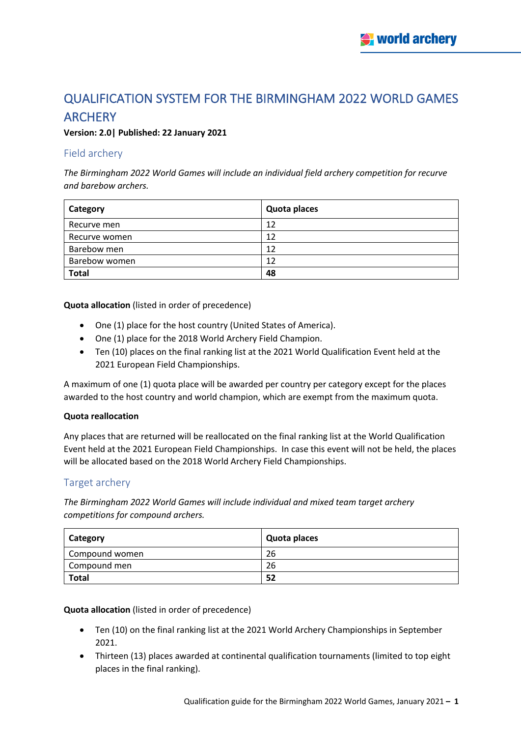# QUALIFICATION SYSTEM FOR THE BIRMINGHAM 2022 WORLD GAMES **ARCHERY**

## **Version: 2.0| Published: 22 January 2021**

## Field archery

*The Birmingham 2022 World Games will include an individual field archery competition for recurve and barebow archers.*

| Category      | Quota places |
|---------------|--------------|
| Recurve men   | 12           |
| Recurve women | 12           |
| Barebow men   | 12           |
| Barebow women | 12           |
| <b>Total</b>  | 48           |

**Quota allocation** (listed in order of precedence)

- One (1) place for the host country (United States of America).
- One (1) place for the 2018 World Archery Field Champion.
- Ten (10) places on the final ranking list at the 2021 World Qualification Event held at the 2021 European Field Championships.

A maximum of one (1) quota place will be awarded per country per category except for the places awarded to the host country and world champion, which are exempt from the maximum quota.

#### **Quota reallocation**

Any places that are returned will be reallocated on the final ranking list at the World Qualification Event held at the 2021 European Field Championships. In case this event will not be held, the places will be allocated based on the 2018 World Archery Field Championships.

## Target archery

*The Birmingham 2022 World Games will include individual and mixed team target archery competitions for compound archers.*

| Category       | Quota places |
|----------------|--------------|
| Compound women | 26           |
| Compound men   | 26           |
| <b>Total</b>   | 52           |

**Quota allocation** (listed in order of precedence)

- Ten (10) on the final ranking list at the 2021 World Archery Championships in September 2021.
- Thirteen (13) places awarded at continental qualification tournaments (limited to top eight places in the final ranking).